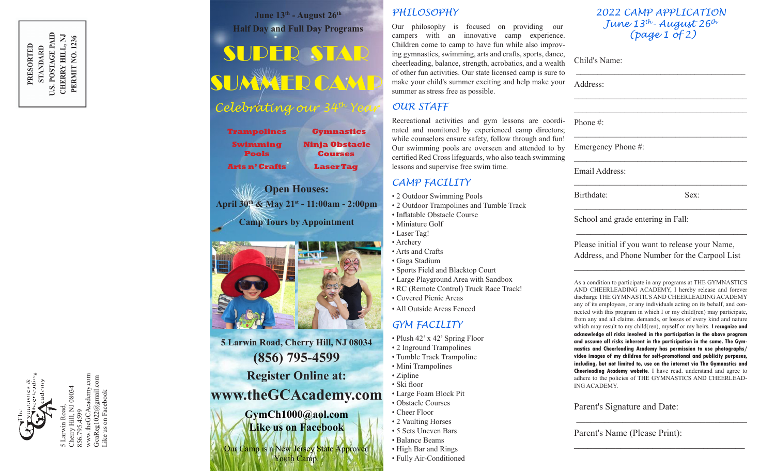

Like us on Facebook

June 13<sup>th</sup> - August 26<sup>th</sup> **Half Day and Full Day Programs**

# SUPER STAR SUMMER CAMP

# *Celebrating our 34th Year*

| <b>Gymnastics</b>                       |
|-----------------------------------------|
| <b>Ninja Obstacle</b><br><b>Courses</b> |
| <b>Laser Tag</b>                        |
|                                         |

**Open Houses: April 30th & May 21st - 11:00am - 2:00pm Camp Tours by Appointment**



**5 Larwin Road, Cherry Hill, NJ 08034 (856) 795-4599 Register Online at:**

# **www.theGCAcademy.com**

**GymCh1000@aol.com Like us on Facebook**

Our Camp is a New Jersey State Approved Youth Camp.

### *PHILOSOPHY*

Our philosophy is focused on providing our campers with an innovative camp experience. Children come to camp to have fun while also improving gymnastics, swimming, arts and crafts, sports, dance, cheerleading, balance, strength, acrobatics, and a wealth of other fun activities. Our state licensed camp is sure to make your child's summer exciting and help make your summer as stress free as possible.

### *OUR STAFF*

Recreational activities and gym lessons are coordinated and monitored by experienced camp directors; while counselors ensure safety, follow through and fun! Our swimming pools are overseen and attended to by certified Red Cross lifeguards, who also teach swimming lessons and supervise free swim time.

### *CAMP FACILITY*

- 2 Outdoor Swimming Pools
- 2 Outdoor Trampolines and Tumble Track
- Inflatable Obstacle Course
- Miniature Golf
- 
- Arts and Crafts
- Gaga Stadium
- Sports Field and Blacktop Court
- Large Playground Area with Sandbox
- RC (Remote Control) Truck Race Track!
- Covered Picnic Areas
- All Outside Areas Fenced

# *GYM FACILITY*

- Plush 42' x 42' Spring Floor
- 2 Inground Trampolines
- Tumble Track Trampoline
- Mini Trampolines
- Zipline
- Ski floor
- Large Foam Block Pit
	- Obstacle Courses
	- Cheer Floor
	- 2 Vaulting Horses
	- 5 Sets Uneven Bars • Balance Beams
	- High Bar and Rings
	- Fully Air-Conditioned

### *2022 CAMP APPLICATION June 13th- August 26th (page 1 of 2)*

\_\_\_\_\_\_\_\_\_\_\_\_\_\_\_\_\_\_\_\_\_\_\_\_\_\_\_\_\_\_\_\_\_\_\_\_\_\_\_\_

 $\mathcal{L}_\text{max}$  , we can assume that the contract of  $\mathcal{L}_\text{max}$ \_\_\_\_\_\_\_\_\_\_\_\_\_\_\_\_\_\_\_\_\_\_\_\_\_\_\_\_\_\_\_\_\_\_\_\_\_\_\_\_\_

 $\mathcal{L}_\text{max}$  , we can assume that the contract of  $\mathcal{L}_\text{max}$ 

 $\mathcal{L}_\text{max}$  and  $\mathcal{L}_\text{max}$  and  $\mathcal{L}_\text{max}$  and  $\mathcal{L}_\text{max}$ 

 $\mathcal{L}_\text{max}$  and  $\mathcal{L}_\text{max}$  and  $\mathcal{L}_\text{max}$  and  $\mathcal{L}_\text{max}$ 

Child's Name:

Address:

Phone #:

Emergency Phone #:

Email Address:

Birthdate: Sex:

\_\_\_\_\_\_\_\_\_\_\_\_\_\_\_\_\_\_\_\_\_\_\_\_\_\_\_\_\_\_\_\_\_\_\_\_\_\_\_\_\_

School and grade entering in Fall:

Please initial if you want to release your Name, Address, and Phone Number for the Carpool List

 $\mathcal{L}_\text{max}$  and  $\mathcal{L}_\text{max}$  and  $\mathcal{L}_\text{max}$  and  $\mathcal{L}_\text{max}$ 

 $\overline{\phantom{a}}$  , and the set of the set of the set of the set of the set of the set of the set of the set of the set of the set of the set of the set of the set of the set of the set of the set of the set of the set of the s

As a condition to participate in any programs at THE GYMNASTICS AND CHEERLEADING ACADEMY, I hereby release and forever discharge THE GYMNASTICS AND CHEERLEADING ACADEMY any of its employees, or any individuals acting on its behalf, and connected with this program in which I or my child(ren) may participate, from any and all claims. demands, or losses of every kind and nature which may result to my child(ren), myself or my heirs. **I recognize and acknowledge all risks involved in the participation in the above program and assume all risks inherent in the participation in the same. The Gymnastics and Cheerleading Academy has permission to use photographs/ video images of my children for self-promotional and publicity purposes, including, but not limited to, use on the internet via The Gymnastics and Cheerieading Academy website**. I have read. understand and agree to adhere to the policies of THE GYMNASTICS AND CHEERLEAD-ING ACADEMY.

\_\_\_\_\_\_\_\_\_\_\_\_\_\_\_\_\_\_\_\_\_\_\_\_\_\_\_\_\_\_\_\_\_\_\_\_\_

 $\mathcal{L}_\text{max}$  , where  $\mathcal{L}_\text{max}$  and  $\mathcal{L}_\text{max}$  and  $\mathcal{L}_\text{max}$ 

Parent's Signature and Date:

Parent's Name (Please Print):

# • Laser Tag! • Archery